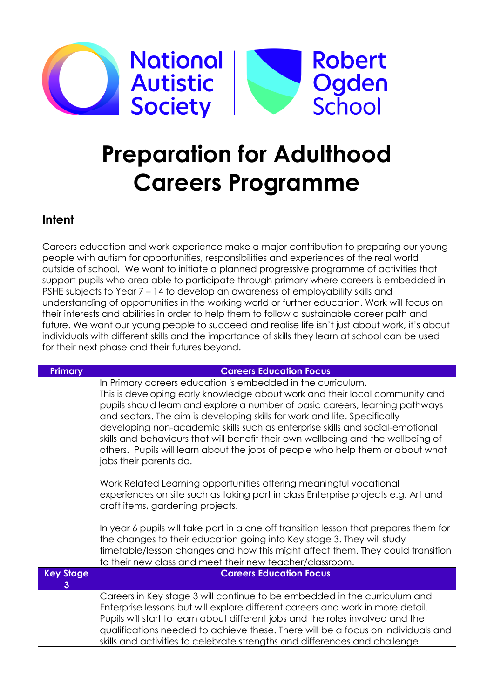

## **Preparation for Adulthood Careers Programme**

## **Intent**

Careers education and work experience make a major contribution to preparing our young people with autism for opportunities, responsibilities and experiences of the real world outside of school. We want to initiate a planned progressive programme of activities that support pupils who area able to participate through primary where careers is embedded in PSHE subjects to Year 7 – 14 to develop an awareness of employability skills and understanding of opportunities in the working world or further education. Work will focus on their interests and abilities in order to help them to follow a sustainable career path and future. We want our young people to succeed and realise life isn't just about work, it's about individuals with different skills and the importance of skills they learn at school can be used for their next phase and their futures beyond.

| <b>Primary</b>        | <b>Careers Education Focus</b>                                                                                                                                                                                                                                                                                                                                                                                                                                                                                                                                                           |
|-----------------------|------------------------------------------------------------------------------------------------------------------------------------------------------------------------------------------------------------------------------------------------------------------------------------------------------------------------------------------------------------------------------------------------------------------------------------------------------------------------------------------------------------------------------------------------------------------------------------------|
|                       | In Primary careers education is embedded in the curriculum.<br>This is developing early knowledge about work and their local community and<br>pupils should learn and explore a number of basic careers, learning pathways<br>and sectors. The aim is developing skills for work and life. Specifically<br>developing non-academic skills such as enterprise skills and social-emotional<br>skills and behaviours that will benefit their own wellbeing and the wellbeing of<br>others. Pupils will learn about the jobs of people who help them or about what<br>jobs their parents do. |
|                       | Work Related Learning opportunities offering meaningful vocational<br>experiences on site such as taking part in class Enterprise projects e.g. Art and<br>craft items, gardening projects.                                                                                                                                                                                                                                                                                                                                                                                              |
|                       | In year 6 pupils will take part in a one off transition lesson that prepares them for<br>the changes to their education going into Key stage 3. They will study<br>timetable/lesson changes and how this might affect them. They could transition<br>to their new class and meet their new teacher/classroom.                                                                                                                                                                                                                                                                            |
| <b>Key Stage</b><br>3 | <b>Careers Education Focus</b>                                                                                                                                                                                                                                                                                                                                                                                                                                                                                                                                                           |
|                       | Careers in Key stage 3 will continue to be embedded in the curriculum and<br>Enterprise lessons but will explore different careers and work in more detail.<br>Pupils will start to learn about different jobs and the roles involved and the<br>qualifications needed to achieve these. There will be a focus on individuals and<br>skills and activities to celebrate strengths and differences and challenge                                                                                                                                                                          |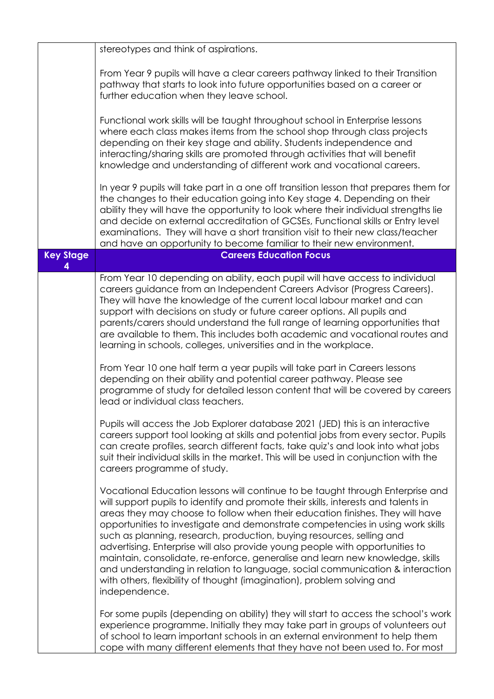|                  | stereotypes and think of aspirations.                                                                                                                                                                                                                                                                                                                                                                                                                                                                                                                                                                                                                                                                                                                         |
|------------------|---------------------------------------------------------------------------------------------------------------------------------------------------------------------------------------------------------------------------------------------------------------------------------------------------------------------------------------------------------------------------------------------------------------------------------------------------------------------------------------------------------------------------------------------------------------------------------------------------------------------------------------------------------------------------------------------------------------------------------------------------------------|
|                  | From Year 9 pupils will have a clear careers pathway linked to their Transition<br>pathway that starts to look into future opportunities based on a career or<br>further education when they leave school.                                                                                                                                                                                                                                                                                                                                                                                                                                                                                                                                                    |
|                  | Functional work skills will be taught throughout school in Enterprise lessons<br>where each class makes items from the school shop through class projects<br>depending on their key stage and ability. Students independence and<br>interacting/sharing skills are promoted through activities that will benefit<br>knowledge and understanding of different work and vocational careers.                                                                                                                                                                                                                                                                                                                                                                     |
|                  | In year 9 pupils will take part in a one off transition lesson that prepares them for<br>the changes to their education going into Key stage 4. Depending on their<br>ability they will have the opportunity to look where their individual strengths lie<br>and decide on external accreditation of GCSEs, Functional skills or Entry level<br>examinations. They will have a short transition visit to their new class/teacher<br>and have an opportunity to become familiar to their new environment.                                                                                                                                                                                                                                                      |
| <b>Key Stage</b> | <b>Careers Education Focus</b>                                                                                                                                                                                                                                                                                                                                                                                                                                                                                                                                                                                                                                                                                                                                |
|                  | From Year 10 depending on ability, each pupil will have access to individual<br>careers guidance from an Independent Careers Advisor (Progress Careers).<br>They will have the knowledge of the current local labour market and can<br>support with decisions on study or future career options. All pupils and<br>parents/carers should understand the full range of learning opportunities that<br>are available to them. This includes both academic and vocational routes and<br>learning in schools, colleges, universities and in the workplace.                                                                                                                                                                                                        |
|                  | From Year 10 one half term a year pupils will take part in Careers lessons<br>depending on their ability and potential career pathway. Please see<br>programme of study for detailed lesson content that will be covered by careers<br>lead or individual class teachers.                                                                                                                                                                                                                                                                                                                                                                                                                                                                                     |
|                  | Pupils will access the Job Explorer database 2021 (JED) this is an interactive<br>careers support tool looking at skills and potential jobs from every sector. Pupils<br>can create profiles, search different facts, take quiz's and look into what jobs<br>suit their individual skills in the market. This will be used in conjunction with the<br>careers programme of study.                                                                                                                                                                                                                                                                                                                                                                             |
|                  | Vocational Education lessons will continue to be taught through Enterprise and<br>will support pupils to identify and promote their skills, interests and talents in<br>areas they may choose to follow when their education finishes. They will have<br>opportunities to investigate and demonstrate competencies in using work skills<br>such as planning, research, production, buying resources, selling and<br>advertising. Enterprise will also provide young people with opportunities to<br>maintain, consolidate, re-enforce, generalise and learn new knowledge, skills<br>and understanding in relation to language, social communication & interaction<br>with others, flexibility of thought (imagination), problem solving and<br>independence. |
|                  | For some pupils (depending on ability) they will start to access the school's work<br>experience programme. Initially they may take part in groups of volunteers out<br>of school to learn important schools in an external environment to help them<br>cope with many different elements that they have not been used to. For most                                                                                                                                                                                                                                                                                                                                                                                                                           |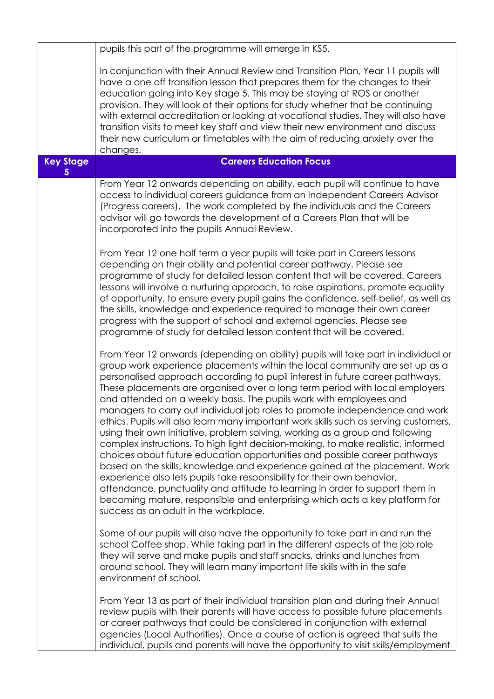|                       | pupils this part of the programme will emerge in KS5.                                                                                                                                                                                                                                                                                                                                                                                                                                                                                                                                                                                                                                                                                                                                                                                                                                                                                                                                                                                                                                                                                                                                             |
|-----------------------|---------------------------------------------------------------------------------------------------------------------------------------------------------------------------------------------------------------------------------------------------------------------------------------------------------------------------------------------------------------------------------------------------------------------------------------------------------------------------------------------------------------------------------------------------------------------------------------------------------------------------------------------------------------------------------------------------------------------------------------------------------------------------------------------------------------------------------------------------------------------------------------------------------------------------------------------------------------------------------------------------------------------------------------------------------------------------------------------------------------------------------------------------------------------------------------------------|
|                       | In conjunction with their Annual Review and Transition Plan, Year 11 pupils will<br>have a one off transition lesson that prepares them for the changes to their<br>education going into Key stage 5. This may be staying at ROS or another<br>provision. They will look at their options for study whether that be continuing<br>with external accreditation or looking at vocational studies. They will also have<br>transition visits to meet key staff and view their new environment and discuss<br>their new curriculum or timetables with the aim of reducing anxiety over the<br>changes.                                                                                                                                                                                                                                                                                                                                                                                                                                                                                                                                                                                                 |
| <b>Key Stage</b><br>5 | <b>Careers Education Focus</b>                                                                                                                                                                                                                                                                                                                                                                                                                                                                                                                                                                                                                                                                                                                                                                                                                                                                                                                                                                                                                                                                                                                                                                    |
|                       | From Year 12 onwards depending on ability, each pupil will continue to have<br>access to individual careers guidance from an Independent Careers Advisor<br>(Progress careers). The work completed by the individuals and the Careers<br>advisor will go towards the development of a Careers Plan that will be<br>incorporated into the pupils Annual Review.                                                                                                                                                                                                                                                                                                                                                                                                                                                                                                                                                                                                                                                                                                                                                                                                                                    |
|                       | From Year 12 one half term a year pupils will take part in Careers lessons<br>depending on their ability and potential career pathway. Please see<br>programme of study for detailed lesson content that will be covered. Careers<br>lessons will involve a nurturing approach, to raise aspirations, promote equality<br>of opportunity, to ensure every pupil gains the confidence, self-belief, as well as<br>the skills, knowledge and experience required to manage their own career<br>progress with the support of school and external agencies. Please see<br>programme of study for detailed lesson content that will be covered.                                                                                                                                                                                                                                                                                                                                                                                                                                                                                                                                                        |
|                       | From Year 12 onwards (depending on ability) pupils will take part in individual or<br>group work experience placements within the local community are set up as a<br>personalised approach according to pupil interest in future career pathways.<br>These placements are organised over a long term period with local employers<br>and attended on a weekly basis. The pupils work with employees and<br>managers to carry out individual job roles to promote independence and work<br>ethics. Pupils will also learn many important work skills such as serving customers,<br>using their own initiative, problem solving, working as a group and following<br>complex instructions. To high light decision-making, to make realistic, informed<br>choices about future education opportunities and possible career pathways<br>based on the skills, knowledge and experience gained at the placement. Work<br>experience also lets pupils take responsibility for their own behavior,<br>attendance, punctuality and attitude to learning in order to support them in<br>becoming mature, responsible and enterprising which acts a key platform for<br>success as an adult in the workplace. |
|                       | Some of our pupils will also have the opportunity to take part in and run the<br>school Coffee shop. While taking part in the different aspects of the job role<br>they will serve and make pupils and staff snacks, drinks and lunches from<br>around school. They will learn many important life skills with in the safe<br>environment of school.                                                                                                                                                                                                                                                                                                                                                                                                                                                                                                                                                                                                                                                                                                                                                                                                                                              |
|                       | From Year 13 as part of their individual transition plan and during their Annual<br>review pupils with their parents will have access to possible future placements<br>or career pathways that could be considered in conjunction with external<br>agencies (Local Authorities). Once a course of action is agreed that suits the<br>individual, pupils and parents will have the opportunity to visit skills/employment                                                                                                                                                                                                                                                                                                                                                                                                                                                                                                                                                                                                                                                                                                                                                                          |